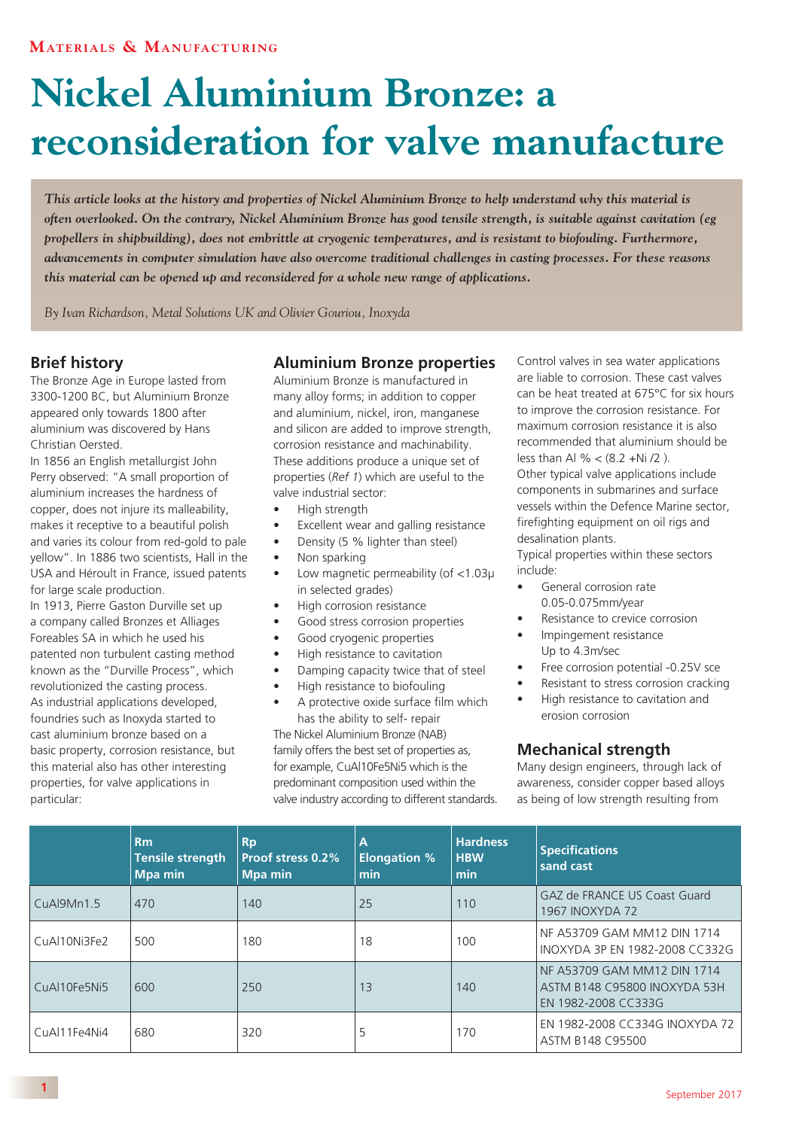# **Nickel Aluminium Bronze: a reconsideration for valve manufacture**

*This article looks at the history and properties of Nickel Aluminium Bronze to help understand why this material is often overlooked. On the contrary, Nickel Aluminium Bronze has good tensile strength, is suitable against cavitation (eg propellers in shipbuilding), does not embrittle at cryogenic temperatures, and is resistant to biofouling. Furthermore, advancements in computer simulation have also overcome traditional challenges in casting processes. For these reasons this material can be opened up and reconsidered for a whole new range of applications.*

*By Ivan Richardson, Metal Solutions UK and Olivier Gouriou, Inoxyda*

## **Brief history**

The Bronze Age in Europe lasted from 3300-1200 BC, but Aluminium Bronze appeared only towards 1800 after aluminium was discovered by Hans Christian Oersted.

In 1856 an English metallurgist John Perry observed: "A small proportion of aluminium increases the hardness of copper, does not injure its malleability, makes it receptive to a beautiful polish and varies its colour from red-gold to pale yellow". In 1886 two scientists, Hall in the USA and Héroult in France, issued patents for large scale production.

In 1913, Pierre Gaston Durville set up a company called Bronzes et Alliages Foreables SA in which he used his patented non turbulent casting method known as the "Durville Process", which revolutionized the casting process. As industrial applications developed, foundries such as Inoxyda started to cast aluminium bronze based on a basic property, corrosion resistance, but this material also has other interesting properties, for valve applications in particular:

## **Aluminium Bronze properties**

Aluminium Bronze is manufactured in many alloy forms; in addition to copper and aluminium, nickel, iron, manganese and silicon are added to improve strength, corrosion resistance and machinability. These additions produce a unique set of properties (*Ref 1*) which are useful to the valve industrial sector:

- High strength
- Excellent wear and galling resistance
- Density (5 % lighter than steel)
- Non sparking
- Low magnetic permeability (of <1.03µ in selected grades)
- High corrosion resistance
- Good stress corrosion properties
- Good cryogenic properties
- High resistance to cavitation
- Damping capacity twice that of steel
- High resistance to biofouling
- A protective oxide surface film which has the ability to self- repair

The Nickel Aluminium Bronze (NAB) family offers the best set of properties as, for example, CuAl10Fe5Ni5 which is the predominant composition used within the valve industry according to different standards. Control valves in sea water applications are liable to corrosion. These cast valves can be heat treated at 675°C for six hours to improve the corrosion resistance. For maximum corrosion resistance it is also recommended that aluminium should be less than Al % <  $(8.2 + Ni / 2)$ . Other typical valve applications include components in submarines and surface vessels within the Defence Marine sector, firefighting equipment on oil rigs and desalination plants.

Typical properties within these sectors include:

- General corrosion rate 0.05-0.075mm/year
- Resistance to crevice corrosion
- Impingement resistance Up to 4.3m/sec
- Free corrosion potential -0.25V sce
- Resistant to stress corrosion cracking
- High resistance to cavitation and erosion corrosion

#### **Mechanical strength**

Many design engineers, through lack of awareness, consider copper based alloys as being of low strength resulting from

|                | Rm<br>Tensile strength<br><b>Mpa min</b> | <b>Rp</b><br><b>Proof stress 0.2%</b><br><b>Mpa min</b> | $\overline{A}$<br><b>Elongation %</b><br>min | <b>Hardness</b><br><b>HBW</b><br>min | <b>Specifications</b><br>sand cast                                                 |
|----------------|------------------------------------------|---------------------------------------------------------|----------------------------------------------|--------------------------------------|------------------------------------------------------------------------------------|
| CuAl9Mn1.5     | 470                                      | 140                                                     | 25                                           | 110                                  | <b>GAZ de FRANCE US Coast Guard</b><br><b>1967 INOXYDA 72</b>                      |
| CuAl10Ni3Fe2   | 500                                      | 180                                                     | 18                                           | 100                                  | NF A53709 GAM MM12 DIN 1714<br>INOXYDA 3P EN 1982-2008 CC332G                      |
| CuAl10Fe5Ni5   | 600                                      | 250                                                     | 13                                           | 140                                  | NF A53709 GAM MM12 DIN 1714<br>ASTM B148 C95800 INOXYDA 53H<br>EN 1982-2008 CC333G |
| $CuA111Fe4Ni4$ | 680                                      | 320                                                     |                                              | 170                                  | EN 1982-2008 CC334G INOXYDA 72<br>ASTM B148 C95500                                 |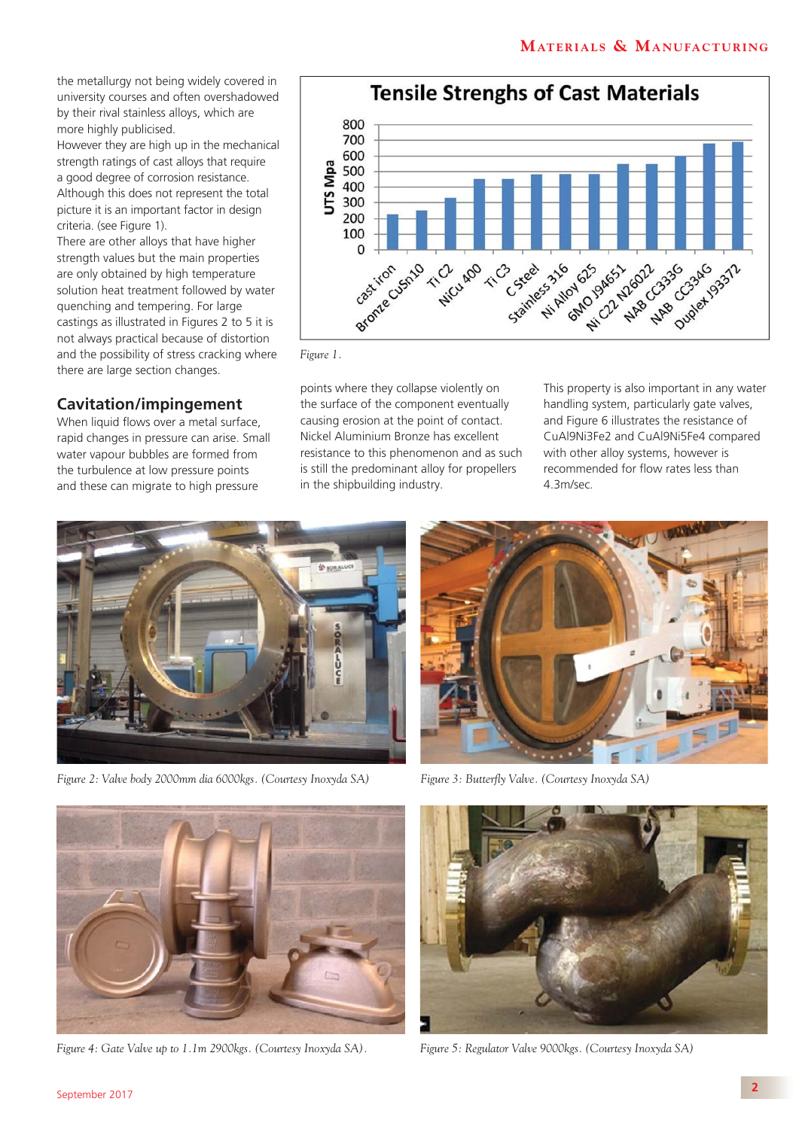the metallurgy not being widely covered in university courses and often overshadowed by their rival stainless alloys, which are more highly publicised.

However they are high up in the mechanical strength ratings of cast alloys that require a good degree of corrosion resistance. Although this does not represent the total picture it is an important factor in design criteria. (see Figure 1).

There are other alloys that have higher strength values but the main properties are only obtained by high temperature solution heat treatment followed by water quenching and tempering. For large castings as illustrated in Figures 2 to 5 it is not always practical because of distortion and the possibility of stress cracking where there are large section changes.

#### **Cavitation/impingement**

When liquid flows over a metal surface, rapid changes in pressure can arise. Small water vapour bubbles are formed from the turbulence at low pressure points and these can migrate to high pressure



*Figure 1.*

points where they collapse violently on the surface of the component eventually causing erosion at the point of contact. Nickel Aluminium Bronze has excellent resistance to this phenomenon and as such is still the predominant alloy for propellers in the shipbuilding industry.

This property is also important in any water handling system, particularly gate valves, and Figure 6 illustrates the resistance of CuAl9Ni3Fe2 and CuAl9Ni5Fe4 compared with other alloy systems, however is recommended for flow rates less than 4.3m/sec.



*Figure 2: Valve body 2000mm dia 6000kgs. (Courtesy Inoxyda SA)*



*Figure 3: Butterfly Valve. (Courtesy Inoxyda SA)*



*Figure 4: Gate Valve up to 1.1m 2900kgs. (Courtesy Inoxyda SA).*



*Figure 5: Regulator Valve 9000kgs. (Courtesy Inoxyda SA)*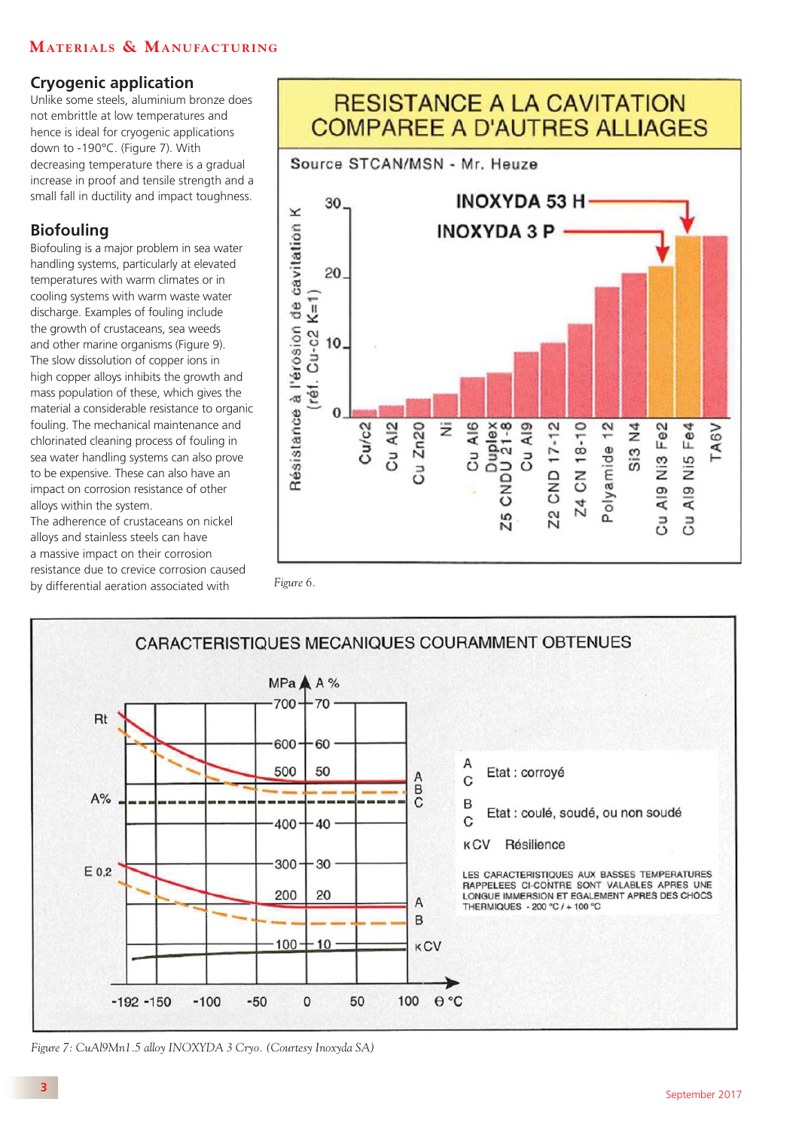# **MATERIALS & MANUFACTURING**

# **Cryogenic application**

Unlike some steels, aluminium bronze does not embrittle at low temperatures and hence is ideal for cryogenic applications down to -190°C. (Figure 7). With decreasing temperature there is a gradual increase in proof and tensile strength and a small fall in ductility and impact toughness.

# **Biofouling**

Biofouling is a major problem in sea water handling systems, particularly at elevated temperatures with warm climates or in cooling systems with warm waste water discharge. Examples of fouling include the growth of crustaceans, sea weeds and other marine organisms (Figure 9). The slow dissolution of copper ions in high copper alloys inhibits the growth and mass population of these, which gives the material a considerable resistance to organic fouling. The mechanical maintenance and chlorinated cleaning process of fouling in sea water handling systems can also prove to be expensive. These can also have an impact on corrosion resistance of other alloys within the system.

The adherence of crustaceans on nickel alloys and stainless steels can have a massive impact on their corrosion resistance due to crevice corrosion caused by differential aeration associated with *Figure 6.*





#### *Figure 7: CuAl9Mn1.5 alloy INOXYDA 3 Cryo. (Courtesy Inoxyda SA)*